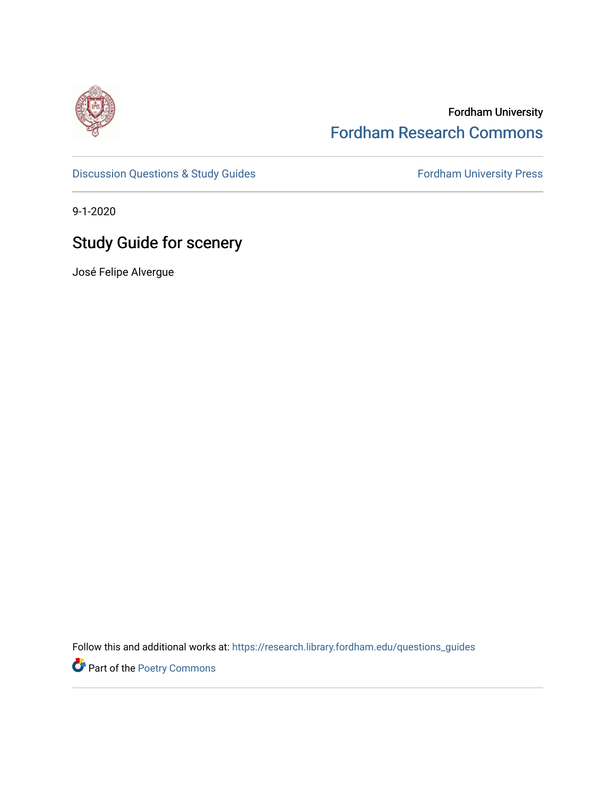

# Fordham University [Fordham Research Commons](https://research.library.fordham.edu/)

[Discussion Questions & Study Guides](https://research.library.fordham.edu/questions_guides) Fordham University Press

9-1-2020

# Study Guide for scenery

José Felipe Alvergue

Follow this and additional works at: [https://research.library.fordham.edu/questions\\_guides](https://research.library.fordham.edu/questions_guides?utm_source=research.library.fordham.edu%2Fquestions_guides%2F2&utm_medium=PDF&utm_campaign=PDFCoverPages) 

Part of the [Poetry Commons](https://network.bepress.com/hgg/discipline/1153?utm_source=research.library.fordham.edu%2Fquestions_guides%2F2&utm_medium=PDF&utm_campaign=PDFCoverPages)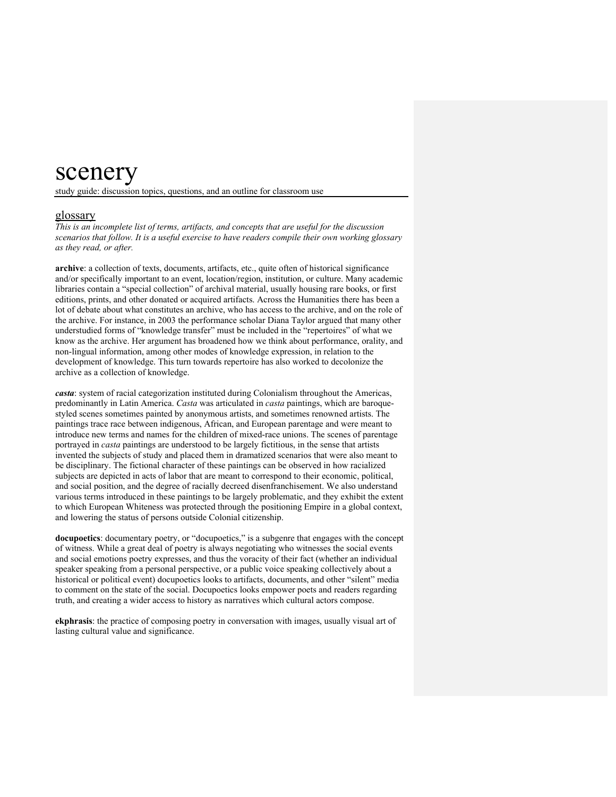# scenery

study guide: discussion topics, questions, and an outline for classroom use

# glossary

*This is an incomplete list of terms, artifacts, and concepts that are useful for the discussion scenarios that follow. It is a useful exercise to have readers compile their own working glossary as they read, or after.* 

**archive**: a collection of texts, documents, artifacts, etc., quite often of historical significance and/or specifically important to an event, location/region, institution, or culture. Many academic libraries contain a "special collection" of archival material, usually housing rare books, or first editions, prints, and other donated or acquired artifacts. Across the Humanities there has been a lot of debate about what constitutes an archive, who has access to the archive, and on the role of the archive. For instance, in 2003 the performance scholar Diana Taylor argued that many other understudied forms of "knowledge transfer" must be included in the "repertoires" of what we know as the archive. Her argument has broadened how we think about performance, orality, and non-lingual information, among other modes of knowledge expression, in relation to the development of knowledge. This turn towards repertoire has also worked to decolonize the archive as a collection of knowledge.

*casta*: system of racial categorization instituted during Colonialism throughout the Americas, predominantly in Latin America. *Casta* was articulated in *casta* paintings, which are baroquestyled scenes sometimes painted by anonymous artists, and sometimes renowned artists. The paintings trace race between indigenous, African, and European parentage and were meant to introduce new terms and names for the children of mixed-race unions. The scenes of parentage portrayed in *casta* paintings are understood to be largely fictitious, in the sense that artists invented the subjects of study and placed them in dramatized scenarios that were also meant to be disciplinary. The fictional character of these paintings can be observed in how racialized subjects are depicted in acts of labor that are meant to correspond to their economic, political, and social position, and the degree of racially decreed disenfranchisement. We also understand various terms introduced in these paintings to be largely problematic, and they exhibit the extent to which European Whiteness was protected through the positioning Empire in a global context, and lowering the status of persons outside Colonial citizenship.

**docupoetics**: documentary poetry, or "docupoetics," is a subgenre that engages with the concept of witness. While a great deal of poetry is always negotiating who witnesses the social events and social emotions poetry expresses, and thus the voracity of their fact (whether an individual speaker speaking from a personal perspective, or a public voice speaking collectively about a historical or political event) docupoetics looks to artifacts, documents, and other "silent" media to comment on the state of the social. Docupoetics looks empower poets and readers regarding truth, and creating a wider access to history as narratives which cultural actors compose.

**ekphrasis**: the practice of composing poetry in conversation with images, usually visual art of lasting cultural value and significance.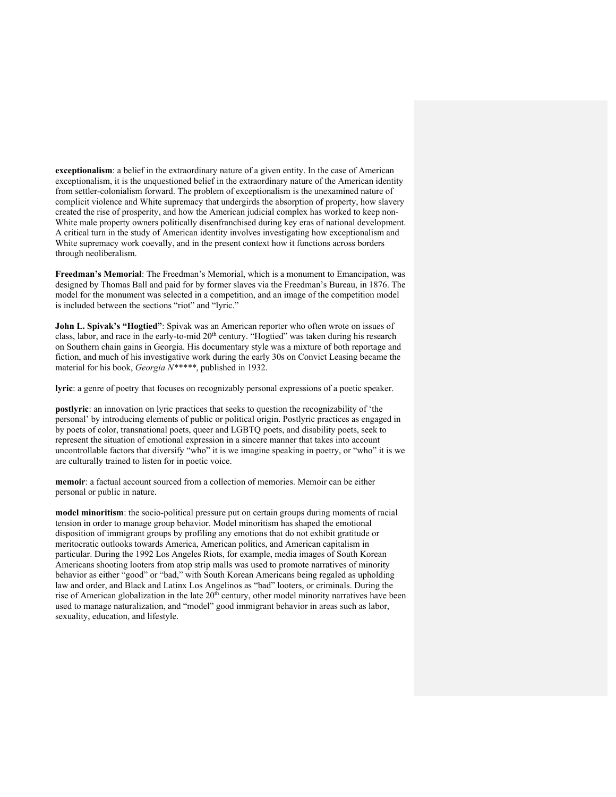**exceptionalism**: a belief in the extraordinary nature of a given entity. In the case of American exceptionalism, it is the unquestioned belief in the extraordinary nature of the American identity from settler-colonialism forward. The problem of exceptionalism is the unexamined nature of complicit violence and White supremacy that undergirds the absorption of property, how slavery created the rise of prosperity, and how the American judicial complex has worked to keep non-White male property owners politically disenfranchised during key eras of national development. A critical turn in the study of American identity involves investigating how exceptionalism and White supremacy work coevally, and in the present context how it functions across borders through neoliberalism.

**Freedman's Memorial**: The Freedman's Memorial, which is a monument to Emancipation, was designed by Thomas Ball and paid for by former slaves via the Freedman's Bureau, in 1876. The model for the monument was selected in a competition, and an image of the competition model is included between the sections "riot" and "lyric."

**John L. Spivak's "Hogtied"**: Spivak was an American reporter who often wrote on issues of class, labor, and race in the early-to-mid  $20<sup>th</sup>$  century. "Hogtied" was taken during his research on Southern chain gains in Georgia. His documentary style was a mixture of both reportage and fiction, and much of his investigative work during the early 30s on Convict Leasing became the material for his book, *Georgia N\*\*\*\*\**, published in 1932.

**lyric**: a genre of poetry that focuses on recognizably personal expressions of a poetic speaker.

**postlyric**: an innovation on lyric practices that seeks to question the recognizability of 'the personal' by introducing elements of public or political origin. Postlyric practices as engaged in by poets of color, transnational poets, queer and LGBTQ poets, and disability poets, seek to represent the situation of emotional expression in a sincere manner that takes into account uncontrollable factors that diversify "who" it is we imagine speaking in poetry, or "who" it is we are culturally trained to listen for in poetic voice.

**memoir**: a factual account sourced from a collection of memories. Memoir can be either personal or public in nature.

**model minoritism**: the socio-political pressure put on certain groups during moments of racial tension in order to manage group behavior. Model minoritism has shaped the emotional disposition of immigrant groups by profiling any emotions that do not exhibit gratitude or meritocratic outlooks towards America, American politics, and American capitalism in particular. During the 1992 Los Angeles Riots, for example, media images of South Korean Americans shooting looters from atop strip malls was used to promote narratives of minority behavior as either "good" or "bad," with South Korean Americans being regaled as upholding law and order, and Black and Latinx Los Angelinos as "bad" looters, or criminals. During the rise of American globalization in the late  $20<sup>th</sup>$  century, other model minority narratives have been used to manage naturalization, and "model" good immigrant behavior in areas such as labor, sexuality, education, and lifestyle.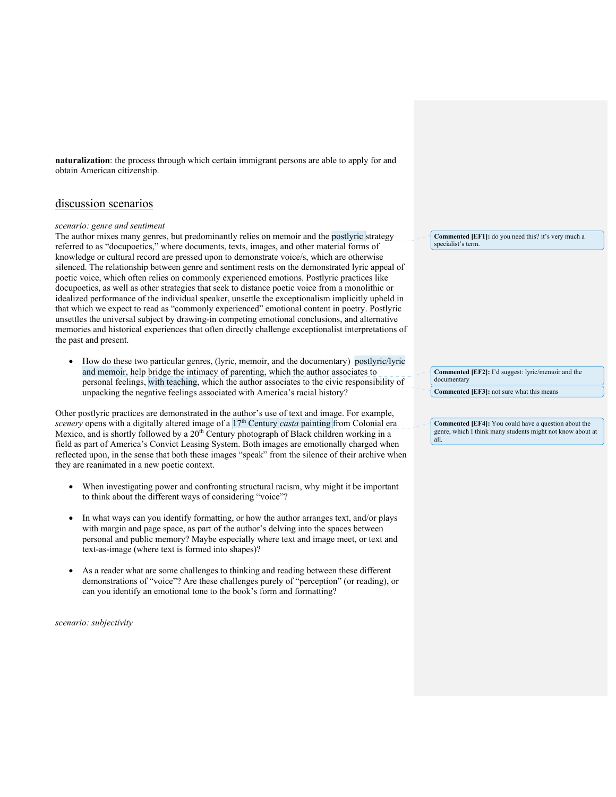**naturalization**: the process through which certain immigrant persons are able to apply for and obtain American citizenship.

# discussion scenarios

#### *scenario: genre and sentiment*

The author mixes many genres, but predominantly relies on memoir and the postlyric strategy referred to as "docupoetics," where documents, texts, images, and other material forms of knowledge or cultural record are pressed upon to demonstrate voice/s, which are otherwise silenced. The relationship between genre and sentiment rests on the demonstrated lyric appeal of poetic voice, which often relies on commonly experienced emotions. Postlyric practices like docupoetics, as well as other strategies that seek to distance poetic voice from a monolithic or idealized performance of the individual speaker, unsettle the exceptionalism implicitly upheld in that which we expect to read as "commonly experienced" emotional content in poetry. Postlyric unsettles the universal subject by drawing-in competing emotional conclusions, and alternative memories and historical experiences that often directly challenge exceptionalist interpretations of the past and present.

• How do these two particular genres, (lyric, memoir, and the documentary) postlyric/lyric and memoir, help bridge the intimacy of parenting, which the author associates to personal feelings, with teaching, which the author associates to the civic responsibility of unpacking the negative feelings associated with America's racial history?

Other postlyric practices are demonstrated in the author's use of text and image. For example, *scenery* opens with a digitally altered image of a 17<sup>th</sup> Century *casta* painting from Colonial era Mexico, and is shortly followed by a 20<sup>th</sup> Century photograph of Black children working in a field as part of America's Convict Leasing System. Both images are emotionally charged when reflected upon, in the sense that both these images "speak" from the silence of their archive when they are reanimated in a new poetic context.

- When investigating power and confronting structural racism, why might it be important to think about the different ways of considering "voice"?
- In what ways can you identify formatting, or how the author arranges text, and/or plays with margin and page space, as part of the author's delving into the spaces between personal and public memory? Maybe especially where text and image meet, or text and text-as-image (where text is formed into shapes)?
- As a reader what are some challenges to thinking and reading between these different demonstrations of "voice"? Are these challenges purely of "perception" (or reading), or can you identify an emotional tone to the book's form and formatting?

*scenario: subjectivity* 

**Commented [EF1]:** do you need this? it's very much a specialist's term.

**Commented [EF2]:** I'd suggest: lyric/memoir and the documentary **Commented [EF3]:** not sure what this means

**Commented [EF4]:** You could have a question about the genre, which I think many students might not know about at all.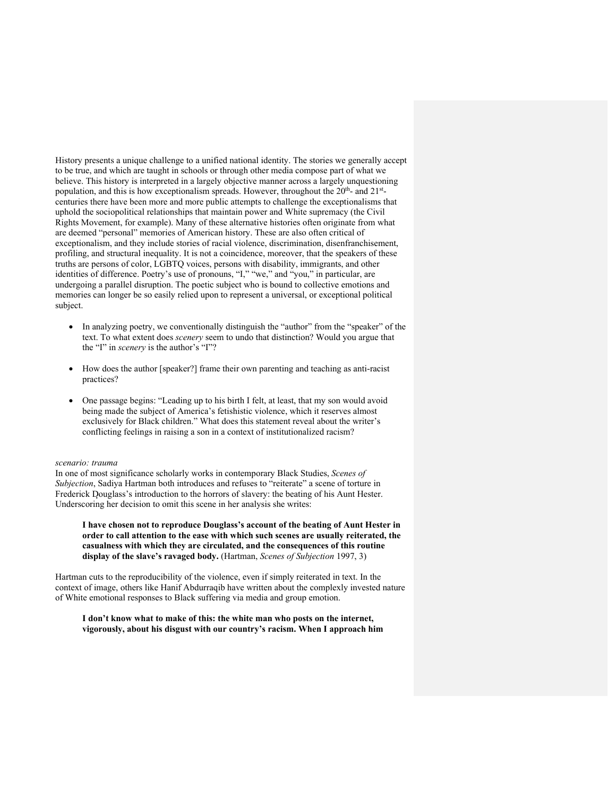History presents a unique challenge to a unified national identity. The stories we generally accept to be true, and which are taught in schools or through other media compose part of what we believe. This history is interpreted in a largely objective manner across a largely unquestioning population, and this is how exceptionalism spreads. However, throughout the  $20<sup>th</sup>$ - and  $21<sup>st</sup>$ centuries there have been more and more public attempts to challenge the exceptionalisms that uphold the sociopolitical relationships that maintain power and White supremacy (the Civil Rights Movement, for example). Many of these alternative histories often originate from what are deemed "personal" memories of American history. These are also often critical of exceptionalism, and they include stories of racial violence, discrimination, disenfranchisement, profiling, and structural inequality. It is not a coincidence, moreover, that the speakers of these truths are persons of color, LGBTQ voices, persons with disability, immigrants, and other identities of difference. Poetry's use of pronouns, "I," "we," and "you," in particular, are undergoing a parallel disruption. The poetic subject who is bound to collective emotions and memories can longer be so easily relied upon to represent a universal, or exceptional political subject.

- In analyzing poetry, we conventionally distinguish the "author" from the "speaker" of the text. To what extent does *scenery* seem to undo that distinction? Would you argue that the "I" in *scenery* is the author's "I"?
- How does the author [speaker?] frame their own parenting and teaching as anti-racist practices?
- One passage begins: "Leading up to his birth I felt, at least, that my son would avoid being made the subject of America's fetishistic violence, which it reserves almost exclusively for Black children." What does this statement reveal about the writer's conflicting feelings in raising a son in a context of institutionalized racism?

#### *scenario: trauma*

In one of most significance scholarly works in contemporary Black Studies, *Scenes of Subjection*, Sadiya Hartman both introduces and refuses to "reiterate" a scene of torture in Frederick Douglass's introduction to the horrors of slavery: the beating of his Aunt Hester. Underscoring her decision to omit this scene in her analysis she writes:

**I have chosen not to reproduce Douglass's account of the beating of Aunt Hester in order to call attention to the ease with which such scenes are usually reiterated, the casualness with which they are circulated, and the consequences of this routine display of the slave's ravaged body.** (Hartman, *Scenes of Subjection* 1997, 3)

Hartman cuts to the reproducibility of the violence, even if simply reiterated in text. In the context of image, others like Hanif Abdurraqib have written about the complexly invested nature of White emotional responses to Black suffering via media and group emotion.

### **I don't know what to make of this: the white man who posts on the internet, vigorously, about his disgust with our country's racism. When I approach him**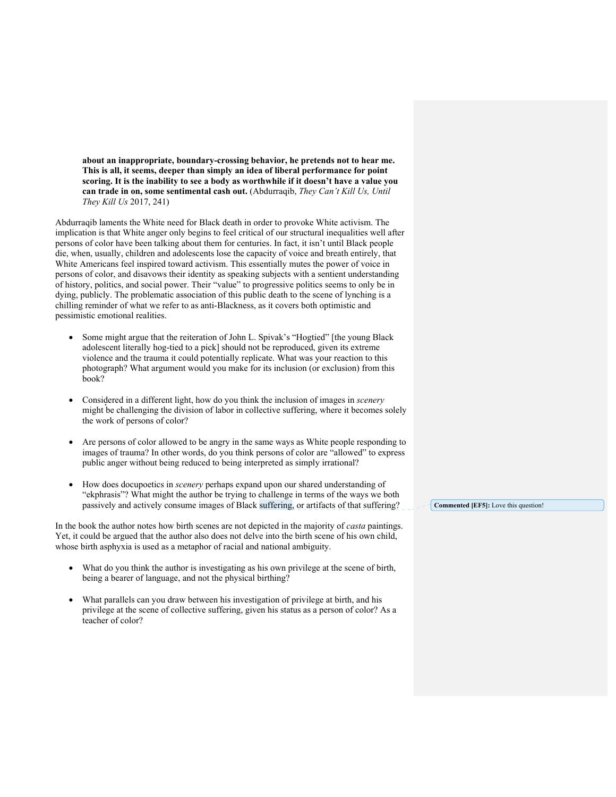**about an inappropriate, boundary-crossing behavior, he pretends not to hear me. This is all, it seems, deeper than simply an idea of liberal performance for point scoring. It is the inability to see a body as worthwhile if it doesn't have a value you can trade in on, some sentimental cash out.** (Abdurraqib, *They Can't Kill Us, Until They Kill Us* 2017, 241)

Abdurraqib laments the White need for Black death in order to provoke White activism. The implication is that White anger only begins to feel critical of our structural inequalities well after persons of color have been talking about them for centuries. In fact, it isn't until Black people die, when, usually, children and adolescents lose the capacity of voice and breath entirely, that White Americans feel inspired toward activism. This essentially mutes the power of voice in persons of color, and disavows their identity as speaking subjects with a sentient understanding of history, politics, and social power. Their "value" to progressive politics seems to only be in dying, publicly. The problematic association of this public death to the scene of lynching is a chilling reminder of what we refer to as anti-Blackness, as it covers both optimistic and pessimistic emotional realities.

- Some might argue that the reiteration of John L. Spivak's "Hogtied" [the young Black adolescent literally hog-tied to a pick] should not be reproduced, given its extreme violence and the trauma it could potentially replicate. What was your reaction to this photograph? What argument would you make for its inclusion (or exclusion) from this book?
- Considered in a different light, how do you think the inclusion of images in *scenery* might be challenging the division of labor in collective suffering, where it becomes solely the work of persons of color?
- Are persons of color allowed to be angry in the same ways as White people responding to images of trauma? In other words, do you think persons of color are "allowed" to express public anger without being reduced to being interpreted as simply irrational?
- How does docupoetics in *scenery* perhaps expand upon our shared understanding of "ekphrasis"? What might the author be trying to challenge in terms of the ways we both passively and actively consume images of Black suffering, or artifacts of that suffering?

In the book the author notes how birth scenes are not depicted in the majority of *casta* paintings. Yet, it could be argued that the author also does not delve into the birth scene of his own child, whose birth asphyxia is used as a metaphor of racial and national ambiguity.

- What do you think the author is investigating as his own privilege at the scene of birth, being a bearer of language, and not the physical birthing?
- What parallels can you draw between his investigation of privilege at birth, and his privilege at the scene of collective suffering, given his status as a person of color? As a teacher of color?

**Commented [EF5]:** Love this question!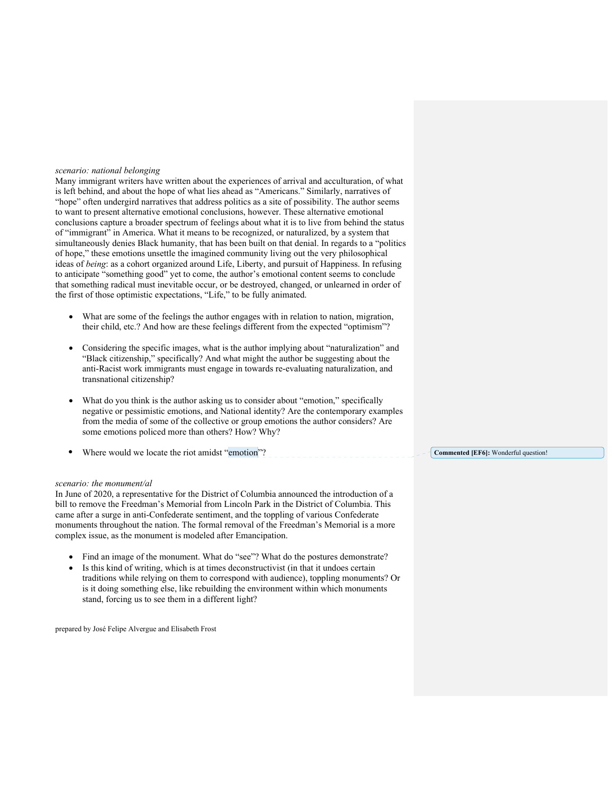# *scenario: national belonging*

Many immigrant writers have written about the experiences of arrival and acculturation, of what is left behind, and about the hope of what lies ahead as "Americans." Similarly, narratives of "hope" often undergird narratives that address politics as a site of possibility. The author seems to want to present alternative emotional conclusions, however. These alternative emotional conclusions capture a broader spectrum of feelings about what it is to live from behind the status of "immigrant" in America. What it means to be recognized, or naturalized, by a system that simultaneously denies Black humanity, that has been built on that denial. In regards to a "politics of hope," these emotions unsettle the imagined community living out the very philosophical ideas of *being*: as a cohort organized around Life, Liberty, and pursuit of Happiness. In refusing to anticipate "something good" yet to come, the author's emotional content seems to conclude that something radical must inevitable occur, or be destroyed, changed, or unlearned in order of the first of those optimistic expectations, "Life," to be fully animated.

- What are some of the feelings the author engages with in relation to nation, migration, their child, etc.? And how are these feelings different from the expected "optimism"?
- Considering the specific images, what is the author implying about "naturalization" and "Black citizenship," specifically? And what might the author be suggesting about the anti-Racist work immigrants must engage in towards re-evaluating naturalization, and transnational citizenship?
- What do you think is the author asking us to consider about "emotion," specifically negative or pessimistic emotions, and National identity? Are the contemporary examples from the media of some of the collective or group emotions the author considers? Are some emotions policed more than others? How? Why?
- Where would we locate the riot amidst "emotion"? **Commented [EF6]:** Wonderful question!

#### *scenario: the monument/al*

In June of 2020, a representative for the District of Columbia announced the introduction of a bill to remove the Freedman's Memorial from Lincoln Park in the District of Columbia. This came after a surge in anti-Confederate sentiment, and the toppling of various Confederate monuments throughout the nation. The formal removal of the Freedman's Memorial is a more complex issue, as the monument is modeled after Emancipation.

- Find an image of the monument. What do "see"? What do the postures demonstrate?
- Is this kind of writing, which is at times deconstructivist (in that it undoes certain traditions while relying on them to correspond with audience), toppling monuments? Or is it doing something else, like rebuilding the environment within which monuments stand, forcing us to see them in a different light?

prepared by José Felipe Alvergue and Elisabeth Frost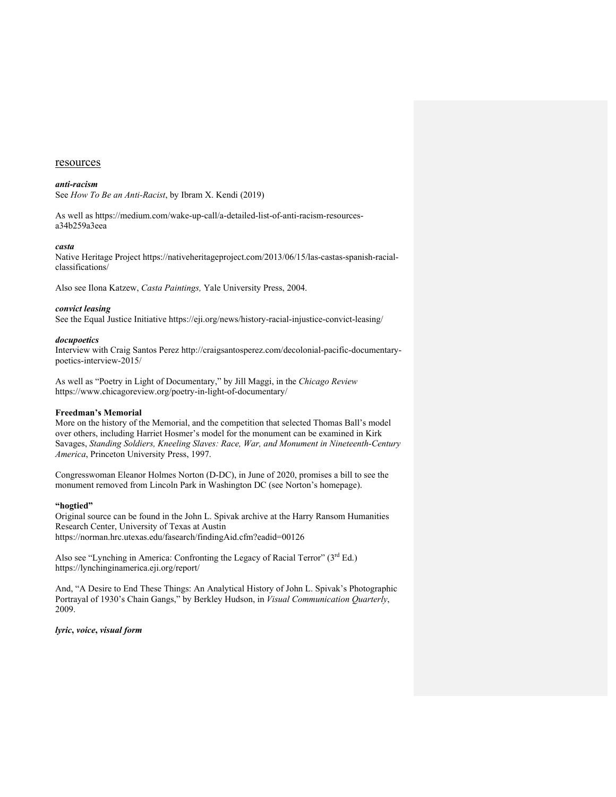#### resources

#### *anti-racism*

See *How To Be an Anti-Racist*, by Ibram X. Kendi (2019)

As well as https://medium.com/wake-up-call/a-detailed-list-of-anti-racism-resourcesa34b259a3eea

#### *casta*

Native Heritage Project https://nativeheritageproject.com/2013/06/15/las-castas-spanish-racialclassifications/

Also see Ilona Katzew, *Casta Paintings,* Yale University Press, 2004.

# *convict leasing*

See the Equal Justice Initiative https://eji.org/news/history-racial-injustice-convict-leasing/

#### *docupoetics*

Interview with Craig Santos Perez http://craigsantosperez.com/decolonial-pacific-documentarypoetics-interview-2015/

As well as "Poetry in Light of Documentary," by Jill Maggi, in the *Chicago Review* https://www.chicagoreview.org/poetry-in-light-of-documentary/

#### **Freedman's Memorial**

More on the history of the Memorial, and the competition that selected Thomas Ball's model over others, including Harriet Hosmer's model for the monument can be examined in Kirk Savages, *Standing Soldiers, Kneeling Slaves: Race, War, and Monument in Nineteenth-Century America*, Princeton University Press, 1997.

Congresswoman Eleanor Holmes Norton (D-DC), in June of 2020, promises a bill to see the monument removed from Lincoln Park in Washington DC (see Norton's homepage).

### **"hogtied"**

Original source can be found in the John L. Spivak archive at the Harry Ransom Humanities Research Center, University of Texas at Austin https://norman.hrc.utexas.edu/fasearch/findingAid.cfm?eadid=00126

Also see "Lynching in America: Confronting the Legacy of Racial Terror" (3rd Ed.) https://lynchinginamerica.eji.org/report/

And, "A Desire to End These Things: An Analytical History of John L. Spivak's Photographic Portrayal of 1930's Chain Gangs," by Berkley Hudson, in *Visual Communication Quarterly*, 2009.

*lyric***,** *voice***,** *visual form*